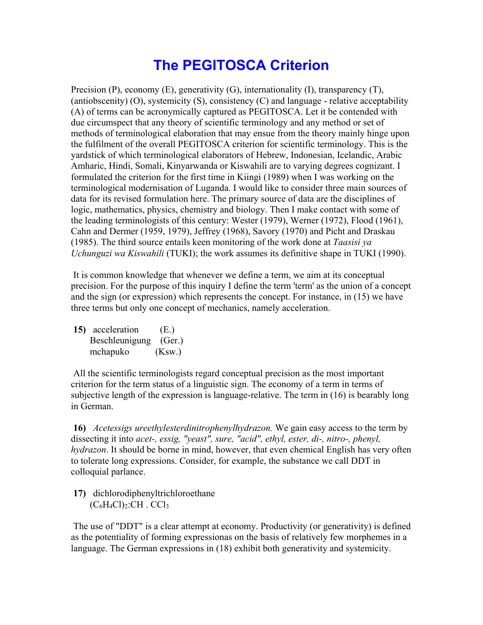## **The PEGITOSCA Criterion**

Precision  $(P)$ , economy  $(E)$ , generativity  $(G)$ , internationality  $(I)$ , transparency  $(T)$ , (antiobscenity) (O), systemicity (S), consistency (C) and language - relative acceptability (A) of terms can be acronymically captured as PEGITOSCA. Let it be contended with due circumspect that any theory of scientific terminology and any method or set of methods of terminological elaboration that may ensue from the theory mainly hinge upon the fulfilment of the overall PEGITOSCA criterion for scientific terminology. This is the yardstick of which terminological elaborators of Hebrew, Indonesian, Icelandic, Arabic Amharic, Hindi, Somali, Kinyarwanda or Kiswahili are to varying degrees cognizant. I formulated the criterion for the first time in Kiingi (1989) when I was working on the terminological modernisation of Luganda. I would like to consider three main sources of data for its revised formulation here. The primary source of data are the disciplines of logic, mathematics, physics, chemistry and biology. Then I make contact with some of the leading terminologists of this century: Wester (1979), Werner (1972), Flood (1961), Cahn and Dermer (1959, 1979), Jeffrey (1968), Savory (1970) and Picht and Draskau (1985). The third source entails keen monitoring of the work done at *Taasisi ya Uchunguzi wa Kiswahili* (TUKI); the work assumes its definitive shape in TUKI (1990).

 It is common knowledge that whenever we define a term, we aim at its conceptual precision. For the purpose of this inquiry I define the term 'term' as the union of a concept and the sign (or expression) which represents the concept. For instance, in (15) we have three terms but only one concept of mechanics, namely acceleration.

**15)** acceleration (E.) Beschleunigung (Ger.) mchapuko (Ksw.)

 All the scientific terminologists regard conceptual precision as the most important criterion for the term status of a linguistic sign. The economy of a term in terms of subjective length of the expression is language-relative. The term in (16) is bearably long in German.

**16)** *Acetessigs ureethylesterdinitrophenylhydrazon.* We gain easy access to the term by dissecting it into *acet-, essig, "yeast", sure, "acid", ethyl, ester, di-, nitro-, phenyl, hydrazon*. It should be borne in mind, however, that even chemical English has very often to tolerate long expressions. Consider, for example, the substance we call DDT in colloquial parlance.

**17)** dichlorodiphenyltrichloroethane  $(C_6H_4Cl)_2$ :CH . CCl<sub>3</sub>

 The use of "DDT" is a clear attempt at economy. Productivity (or generativity) is defined as the potentiality of forming expressionas on the basis of relatively few morphemes in a language. The German expressions in (18) exhibit both generativity and systemicity.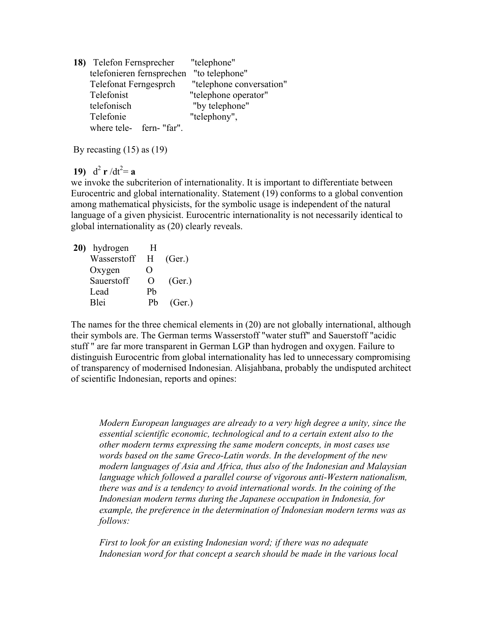| 18) Telefon Fernsprecher     | "telephone"              |
|------------------------------|--------------------------|
| telefonieren fernsprechen    | "to telephone"           |
| <b>Telefonat Ferngesprch</b> | "telephone conversation" |
| Telefonist                   | "telephone operator"     |
| telefonisch                  | "by telephone"           |
| Telefonie                    | "telephony",             |
| where tele- fern- "far".     |                          |

By recasting (15) as (19)

## **19)**  $d^2 r/dt^2 = a$

we invoke the subcriterion of internationality. It is important to differentiate between Eurocentric and global internationality. Statement (19) conforms to a global convention among mathematical physicists, for the symbolic usage is independent of the natural language of a given physicist. Eurocentric internationality is not necessarily identical to global internationality as (20) clearly reveals.

**20)** hydrogen H Wasserstoff H (Ger.) Oxygen O Sauerstoff O (Ger.) Lead Pb Blei Pb (Ger.)

The names for the three chemical elements in (20) are not globally international, although their symbols are. The German terms Wasserstoff "water stuff" and Sauerstoff "acidic stuff " are far more transparent in German LGP than hydrogen and oxygen. Failure to distinguish Eurocentric from global internationality has led to unnecessary compromising of transparency of modernised Indonesian. Alisjahbana, probably the undisputed architect of scientific Indonesian, reports and opines:

*Modern European languages are already to a very high degree a unity, since the essential scientific economic, technological and to a certain extent also to the other modern terms expressing the same modern concepts, in most cases use words based on the same Greco-Latin words. In the development of the new modern languages of Asia and Africa, thus also of the Indonesian and Malaysian language which followed a parallel course of vigorous anti-Western nationalism, there was and is a tendency to avoid international words. In the coining of the Indonesian modern terms during the Japanese occupation in Indonesia, for example, the preference in the determination of Indonesian modern terms was as follows:*

*First to look for an existing Indonesian word; if there was no adequate Indonesian word for that concept a search should be made in the various local*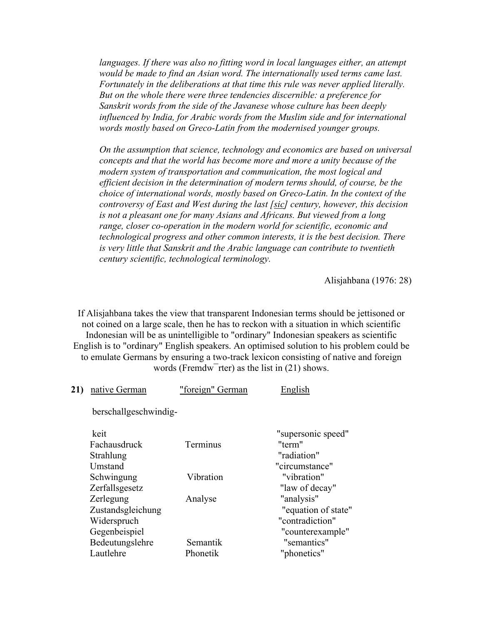languages. If there was also no fitting word in local languages either, an attempt *would be made to find an Asian word. The internationally used terms came last. Fortunately in the deliberations at that time this rule was never applied literally. But on the whole there were three tendencies discernible: a preference for Sanskrit words from the side of the Javanese whose culture has been deeply influenced by India, for Arabic words from the Muslim side and for international words mostly based on Greco-Latin from the modernised younger groups.*

*On the assumption that science, technology and economics are based on universal concepts and that the world has become more and more a unity because of the modern system of transportation and communication, the most logical and efficient decision in the determination of modern terms should, of course, be the choice of international words, mostly based on Greco-Latin. In the context of the controversy of East and West during the last [sic] century, however, this decision is not a pleasant one for many Asians and Africans. But viewed from a long range, closer co-operation in the modern world for scientific, economic and technological progress and other common interests, it is the best decision. There is very little that Sanskrit and the Arabic language can contribute to twentieth century scientific, technological terminology.*

Alisjahbana (1976: 28)

If Alisjahbana takes the view that transparent Indonesian terms should be jettisoned or not coined on a large scale, then he has to reckon with a situation in which scientific Indonesian will be as unintelligible to "ordinary" Indonesian speakers as scientific English is to "ordinary" English speakers. An optimised solution to his problem could be to emulate Germans by ensuring a two-track lexicon consisting of native and foreign words (Fremdw<sup>-</sup>rter) as the list in (21) shows.

| 21) | native German                                                  | "foreign" German     | English                                                                  |
|-----|----------------------------------------------------------------|----------------------|--------------------------------------------------------------------------|
|     | berschallgeschwindig-                                          |                      |                                                                          |
|     | keit<br>Fachausdruck<br>Strahlung<br>Umstand                   | Terminus             | "supersonic speed"<br>"term"<br>"radiation"<br>"circumstance"            |
|     | Schwingung<br>Zerfallsgesetz                                   | Vibration            | "vibration"<br>"law of decay"                                            |
|     | Zerlegung<br>Zustandsgleichung<br>Widerspruch<br>Gegenbeispiel | Analyse              | "analysis"<br>"equation of state"<br>"contradiction"<br>"counterexample" |
|     | Bedeutungslehre<br>Lautlehre                                   | Semantik<br>Phonetik | "semantics"<br>"phonetics"                                               |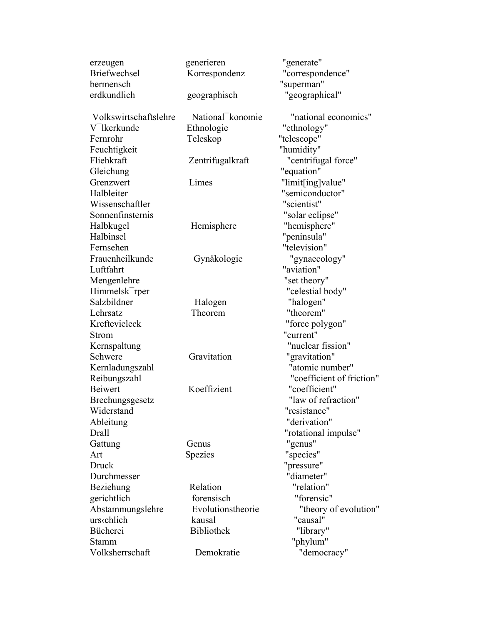| erzeugen                   | generieren        | "generate"                |
|----------------------------|-------------------|---------------------------|
| <b>Briefwechsel</b>        | Korrespondenz     | "correspondence"          |
| bermensch                  |                   | "superman"                |
| erdkundlich                | geographisch      | "geographical"            |
|                            |                   |                           |
| Volkswirtschaftslehre      | National konomie  | "national economics"      |
| V <sup>I</sup> kerkunde    | Ethnologie        | "ethnology"               |
| Fernrohr                   | Teleskop          | "telescope"               |
| Feuchtigkeit               |                   | "humidity"                |
| Fliehkraft                 | Zentrifugalkraft  | "centrifugal force"       |
| Gleichung                  |                   | "equation"                |
| Grenzwert                  | Limes             | "limit[ing]value"         |
| Halbleiter                 |                   | "semiconductor"           |
| Wissenschaftler            |                   | "scientist"               |
| Sonnenfinsternis           |                   | "solar eclipse"           |
| Halbkugel                  | Hemisphere        | "hemisphere"              |
| Halbinsel                  |                   | "peninsula"               |
| Fernsehen                  |                   | "television"              |
| Frauenheilkunde            | Gynäkologie       | "gynaecology"             |
| Luftfahrt                  |                   | "aviation"                |
| Mengenlehre                |                   | "set theory"              |
| Himmelsk <sup>-</sup> rper |                   | "celestial body"          |
| Salzbildner                | Halogen           | "halogen"                 |
| Lehrsatz                   | Theorem           | "theorem"                 |
| Kreftevieleck              |                   | "force polygon"           |
| Strom                      |                   | "current"                 |
| Kernspaltung               |                   | "nuclear fission"         |
| Schwere                    | Gravitation       | "gravitation"             |
| Kernladungszahl            |                   | "atomic number"           |
| Reibungszahl               |                   | "coefficient of friction" |
| <b>Beiwert</b>             | Koeffizient       | "coefficient"             |
| Brechungsgesetz            |                   | "law of refraction"       |
| Widerstand                 |                   | "resistance"              |
| Ableitung                  |                   | "derivation"              |
| Drall                      |                   | "rotational impulse"      |
| Gattung                    | Genus             | "genus"                   |
| Art                        | Spezies           | "species"                 |
| <b>Druck</b>               |                   | "pressure"                |
| Durchmesser                |                   | "diameter"                |
| Beziehung                  | Relation          | "relation"                |
| gerichtlich                | forensisch        | "forensic"                |
| Abstammungslehre           | Evolutionstheorie | "theory of evolution"     |
| urs‹chlich                 | kausal            | "causal"                  |
| Bücherei                   | <b>Bibliothek</b> | "library"                 |
| <b>Stamm</b>               |                   | "phylum"                  |
| Volksherrschaft            | Demokratie        | "democracy"               |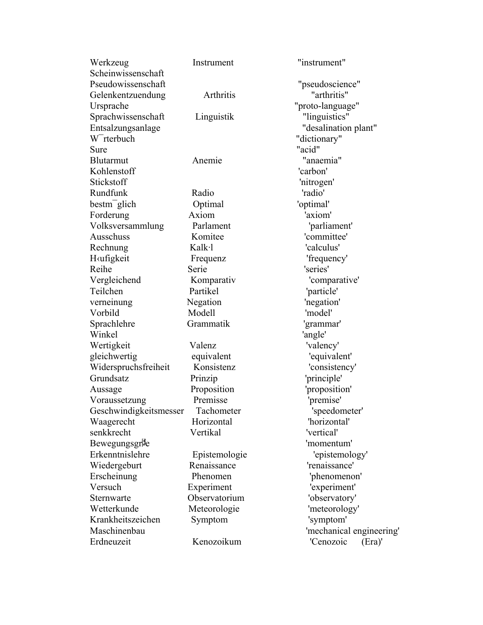| Werkzeug                | Instrument                  | "instrument"             |
|-------------------------|-----------------------------|--------------------------|
| Scheinwissenschaft      |                             |                          |
| Pseudowissenschaft      |                             | "pseudoscience"          |
| Gelenkentzuendung       | Arthritis                   | "arthritis"              |
| Ursprache               |                             | "proto-language"         |
| Sprachwissenschaft      | Linguistik                  | "linguistics"            |
| Entsalzungsanlage       |                             | "desalination plant"     |
| W <sup>-</sup> rterbuch |                             | "dictionary"             |
| Sure                    |                             | "acid"                   |
| <b>Blutarmut</b>        | Anemie                      | "anaemia"                |
| Kohlenstoff             |                             | 'carbon'                 |
| Stickstoff              |                             | 'nitrogen'               |
| Rundfunk                | Radio                       | 'radio'                  |
| $\mathrm{bestm}$ glich  | Optimal                     | 'optimal'                |
| Forderung               | Axiom                       | 'axiom'                  |
| Volksversammlung        | Parlament                   | 'parliament'             |
| Ausschuss               | Komitee                     | 'committee'              |
| Rechnung                | Kalk·l                      | 'calculus'               |
| Hafigkeit               | Frequenz                    | 'frequency'              |
| Reihe                   | Serie                       | 'series'                 |
| Vergleichend            | Komparativ                  | 'comparative'            |
| Teilchen                | Partikel                    | 'particle'               |
| verneinung              | Negation                    | 'negation'               |
| Vorbild                 | Modell                      | 'model'                  |
| Sprachlehre             | Grammatik                   | 'grammar'                |
| Winkel                  |                             | 'angle'                  |
| Wertigkeit              | Valenz                      | 'valency'                |
| gleichwertig            | equivalent                  | 'equivalent'             |
| Widerspruchsfreiheit    | Konsistenz                  | 'consistency'            |
| Grundsatz               | Prinzip                     | 'principle'              |
| Aussage                 | Proposition                 | 'proposition'            |
| Voraussetzung           | Premisse                    | 'premise'                |
| Geschwindigkeitsmesser  | Tachometer                  | 'speedometer'            |
| Waagerecht              | Horizontal                  | 'horizontal'             |
| senkkrecht              | Vertikal                    | 'vertical'               |
| Bewegungsgrie           |                             | 'momentum'               |
| Erkenntnislehre         | Epistemologie               | 'epistemology'           |
| Wiedergeburt            | Renaissance                 | 'renaissance'            |
| Erscheinung             | Phenomen                    |                          |
| Versuch                 |                             | 'phenomenon'             |
| Sternwarte              | Experiment<br>Observatorium | 'experiment'             |
|                         |                             | 'observatory'            |
| Wetterkunde             | Meteorologie                | 'meteorology'            |
| Krankheitszeichen       | Symptom                     | 'symptom'                |
| Maschinenbau            |                             | 'mechanical engineering' |
| Erdneuzeit              | Kenozoikum                  | 'Cenozoic<br>(Era)'      |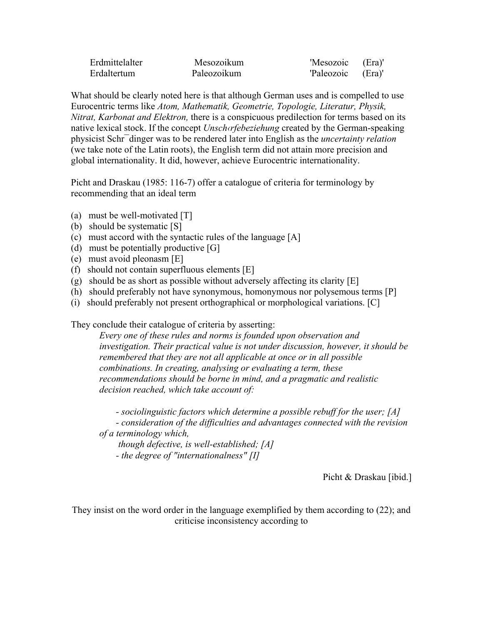| Erdmittelalter | Mesozoikum  | 'Mesozoic         | (Era)' |
|----------------|-------------|-------------------|--------|
| Erdaltertum    | Paleozoikum | 'Paleozoic (Era)' |        |

What should be clearly noted here is that although German uses and is compelled to use Eurocentric terms like *Atom, Mathematik, Geometrie, Topologie, Literatur, Physik, Nitrat, Karbonat and Elektron,* there is a conspicuous predilection for terms based on its native lexical stock. If the concept *Unsch‹rfebeziehung* created by the German-speaking physicist Schr¯dinger was to be rendered later into English as the *uncertainty relation* (we take note of the Latin roots), the English term did not attain more precision and global internationality. It did, however, achieve Eurocentric internationality.

Picht and Draskau (1985: 116-7) offer a catalogue of criteria for terminology by recommending that an ideal term

- (a) must be well-motivated [T]
- (b) should be systematic [S]
- (c) must accord with the syntactic rules of the language [A]
- (d) must be potentially productive [G]
- (e) must avoid pleonasm [E]
- (f) should not contain superfluous elements [E]
- (g) should be as short as possible without adversely affecting its clarity [E]
- (h) should preferably not have synonymous, homonymous nor polysemous terms [P]
- (i) should preferably not present orthographical or morphological variations. [C]

They conclude their catalogue of criteria by asserting:

*Every one of these rules and norms is founded upon observation and investigation. Their practical value is not under discussion, however, it should be remembered that they are not all applicable at once or in all possible combinations. In creating, analysing or evaluating a term, these recommendations should be borne in mind, and a pragmatic and realistic decision reached, which take account of:*

 *- sociolinguistic factors which determine a possible rebuff for the user; [A] - consideration of the difficulties and advantages connected with the revision of a terminology which,*

 *though defective, is well-established; [A] - the degree of "internationalness" [I]*

Picht & Draskau [ibid.]

They insist on the word order in the language exemplified by them according to (22); and criticise inconsistency according to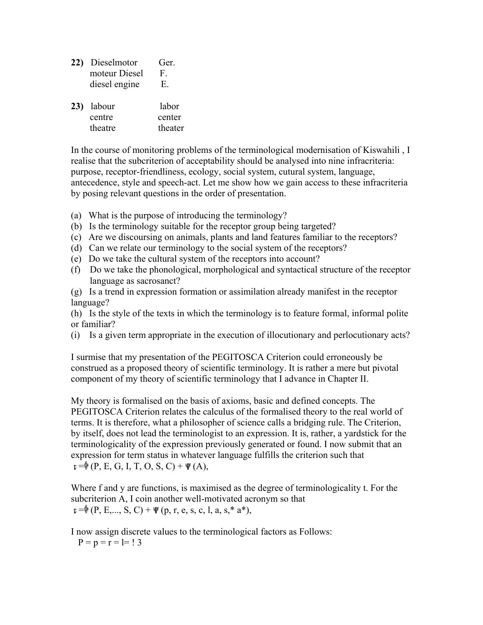| 22) Dieselmotor | Ger.         |
|-----------------|--------------|
| moteur Diesel   | $\mathbf{F}$ |
| diesel engine   | E.           |

| 23) labour | labor   |
|------------|---------|
| centre     | center  |
| theatre    | theater |

In the course of monitoring problems of the terminological modernisation of Kiswahili , I realise that the subcriterion of acceptability should be analysed into nine infracriteria: purpose, receptor-friendliness, ecology, social system, cutural system, language, antecedence, style and speech-act. Let me show how we gain access to these infracriteria by posing relevant questions in the order of presentation.

- (a) What is the purpose of introducing the terminology?
- (b) Is the terminology suitable for the receptor group being targeted?
- (c) Are we discoursing on animals, plants and land features familiar to the receptors?
- (d) Can we relate our terminology to the social system of the receptors?
- (e) Do we take the cultural system of the receptors into account?
- (f) Do we take the phonological, morphological and syntactical structure of the receptor language as sacrosanct?
- (g) Is a trend in expression formation or assimilation already manifest in the receptor language?

(h) Is the style of the texts in which the terminology is to feature formal, informal polite or familiar?

(i) Is a given term appropriate in the execution of illocutionary and perlocutionary acts?

I surmise that my presentation of the PEGITOSCA Criterion could erroneously be construed as a proposed theory of scientific terminology. It is rather a mere but pivotal component of my theory of scientific terminology that I advance in Chapter II.

My theory is formalised on the basis of axioms, basic and defined concepts. The PEGITOSCA Criterion relates the calculus of the formalised theory to the real world of terms. It is therefore, what a philosopher of science calls a bridging rule. The Criterion, by itself, does not lead the terminologist to an expression. It is, rather, a yardstick for the terminologicality of the expression previously generated or found. I now submit that an expression for term status in whatever language fulfills the criterion such that  $E = \oint (P, E, G, I, T, O, S, C) + \Psi (A),$ 

Where f and y are functions, is maximised as the degree of terminologicality t. For the subcriterion A, I coin another well-motivated acronym so that  $_{\mathbb{E}} = \phi(P, E, ..., S, C) + \psi(p, r, e, s, c, l, a, s, * a^*),$ 

I now assign discrete values to the terminological factors as Follows:

 $P = p = r = l = 13$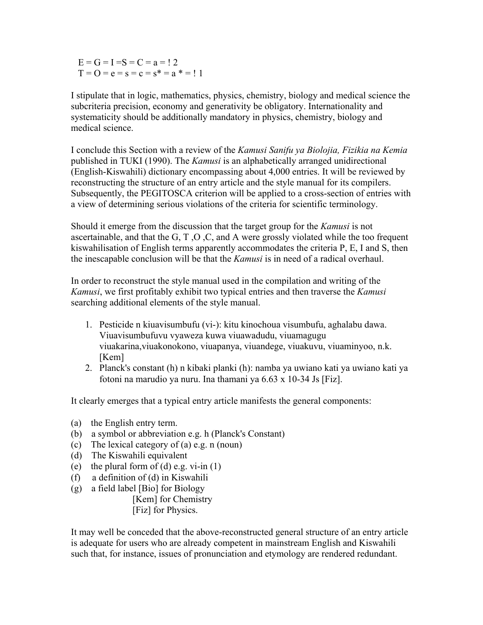$E = G = I = S = C = a = 12$  $T = 0 = e = s = c = s^* = a^* = 11$ 

I stipulate that in logic, mathematics, physics, chemistry, biology and medical science the subcriteria precision, economy and generativity be obligatory. Internationality and systematicity should be additionally mandatory in physics, chemistry, biology and medical science.

I conclude this Section with a review of the *Kamusi Sanifu ya Biolojia, Fizikia na Kemia*  published in TUKI (1990). The *Kamusi* is an alphabetically arranged unidirectional (English-Kiswahili) dictionary encompassing about 4,000 entries. It will be reviewed by reconstructing the structure of an entry article and the style manual for its compilers. Subsequently, the PEGITOSCA criterion will be applied to a cross-section of entries with a view of determining serious violations of the criteria for scientific terminology.

Should it emerge from the discussion that the target group for the *Kamusi* is not ascertainable, and that the G, T ,O ,C, and A were grossly violated while the too frequent kiswahilisation of English terms apparently accommodates the criteria P, E, I and S, then the inescapable conclusion will be that the *Kamusi* is in need of a radical overhaul.

In order to reconstruct the style manual used in the compilation and writing of the *Kamusi*, we first profitably exhibit two typical entries and then traverse the *Kamusi* searching additional elements of the style manual.

- 1. Pesticide n kiuavisumbufu (vi-): kitu kinochoua visumbufu, aghalabu dawa. Viuavisumbufuvu vyaweza kuwa viuawadudu, viuamagugu viuakarina,viuakonokono, viuapanya, viuandege, viuakuvu, viuaminyoo, n.k. [Kem]
- 2. Planck's constant (h) n kibaki planki (h): namba ya uwiano kati ya uwiano kati ya fotoni na marudio ya nuru. Ina thamani ya 6.63 x 10-34 Js [Fiz].

It clearly emerges that a typical entry article manifests the general components:

- (a) the English entry term.
- (b) a symbol or abbreviation e.g. h (Planck's Constant)
- (c) The lexical category of (a) e.g. n (noun)
- (d) The Kiswahili equivalent
- (e) the plural form of (d) e.g. vi-in  $(1)$
- (f) a definition of (d) in Kiswahili
- (g) a field label [Bio] for Biology

[Kem] for Chemistry

[Fiz] for Physics.

It may well be conceded that the above-reconstructed general structure of an entry article is adequate for users who are already competent in mainstream English and Kiswahili such that, for instance, issues of pronunciation and etymology are rendered redundant.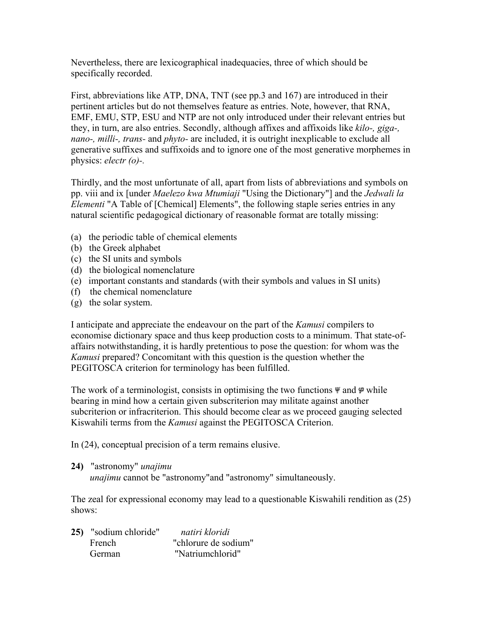Nevertheless, there are lexicographical inadequacies, three of which should be specifically recorded.

First, abbreviations like ATP, DNA, TNT (see pp.3 and 167) are introduced in their pertinent articles but do not themselves feature as entries. Note, however, that RNA, EMF, EMU, STP, ESU and NTP are not only introduced under their relevant entries but they, in turn, are also entries. Secondly, although affixes and affixoids like *kilo-, giga-, nano-, milli-, trans-* and *phyto-* are included, it is outright inexplicable to exclude all generative suffixes and suffixoids and to ignore one of the most generative morphemes in physics: *electr (o)-.*

Thirdly, and the most unfortunate of all, apart from lists of abbreviations and symbols on pp. viii and ix [under *Maelezo kwa Mtumiaji* "Using the Dictionary"] and the *Jedwali la Elementi* "A Table of [Chemical] Elements", the following staple series entries in any natural scientific pedagogical dictionary of reasonable format are totally missing:

- (a) the periodic table of chemical elements
- (b) the Greek alphabet
- (c) the SI units and symbols
- (d) the biological nomenclature
- (e) important constants and standards (with their symbols and values in SI units)
- (f) the chemical nomenclature
- (g) the solar system.

I anticipate and appreciate the endeavour on the part of the *Kamusi* compilers to economise dictionary space and thus keep production costs to a minimum. That state-ofaffairs notwithstanding, it is hardly pretentious to pose the question: for whom was the *Kamusi* prepared? Concomitant with this question is the question whether the PEGITOSCA criterion for terminology has been fulfilled.

The work of a terminologist, consists in optimising the two functions  $\Psi$  and  $\Psi$  while bearing in mind how a certain given subscriterion may militate against another subcriterion or infracriterion. This should become clear as we proceed gauging selected Kiswahili terms from the *Kamusi* against the PEGITOSCA Criterion.

In (24), conceptual precision of a term remains elusive.

## **24)** "astronomy" *unajimu*

*unajimu* cannot be "astronomy"and "astronomy" simultaneously.

The zeal for expressional economy may lead to a questionable Kiswahili rendition as (25) shows:

| 25) "sodium chloride" | natiri kloridi       |
|-----------------------|----------------------|
| <b>French</b>         | "chlorure de sodium" |
| German                | "Natriumchlorid"     |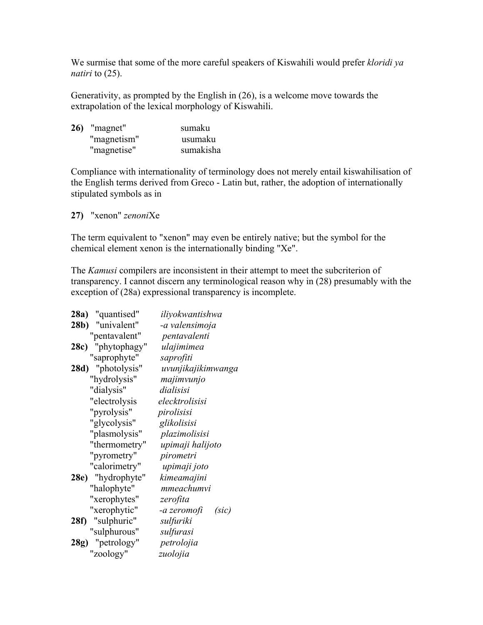We surmise that some of the more careful speakers of Kiswahili would prefer *kloridi ya natiri* to (25).

Generativity, as prompted by the English in (26), is a welcome move towards the extrapolation of the lexical morphology of Kiswahili.

| 26) "magnet" | sumaku    |
|--------------|-----------|
| "magnetism"  | usumaku   |
| "magnetise"  | sumakisha |

Compliance with internationality of terminology does not merely entail kiswahilisation of the English terms derived from Greco - Latin but, rather, the adoption of internationally stipulated symbols as in

**27)** "xenon" *zenoni*Xe

The term equivalent to "xenon" may even be entirely native; but the symbol for the chemical element xenon is the internationally binding "Xe".

The *Kamusi* compilers are inconsistent in their attempt to meet the subcriterion of transparency. I cannot discern any terminological reason why in (28) presumably with the exception of (28a) expressional transparency is incomplete.

| "quantised"<br>28a)  | iliyokwantishwa      |
|----------------------|----------------------|
| "univalent"<br>28b)  | -a valensimoja       |
| "pentavalent"        | pentavalenti         |
| "phytophagy"<br>28c) | ulajimimea           |
| "saprophyte"         | saprofiti            |
| 28d) "photolysis"    | uvunjikajikimwanga   |
| "hydrolysis"         | majimvunjo           |
| "dialysis"           | dialisisi            |
| "electrolysis        | elecktrolisisi       |
| "pyrolysis"          | pirolisisi           |
| "glycolysis"         | glikolisisi          |
| "plasmolysis"        | plazimolisisi        |
| "thermometry"        | upimaji halijoto     |
| "pyrometry"          | pirometri            |
| "calorimetry"        | upimaji joto         |
| "hydrophyte"<br>28e) | kimeamajini          |
| "halophyte"          | mmeachumvi           |
| "xerophytes"         | zerofita             |
| "xerophytic"         | -a zeromofi<br>(sic) |
| "sulphuric"<br>28f)  | sulfuriki            |
| "sulphurous"         | sulfurasi            |
| 28g) "petrology"     | petrolojia           |
| "zoology"            | zuolojia             |